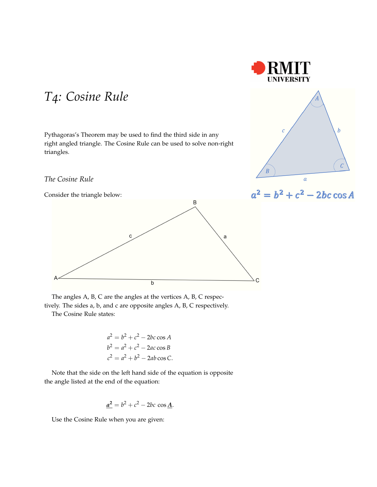

Pythagoras's Theorem may be used to find the third side in any right angled triangle. The Cosine Rule can be used to solve non-right triangles.







The angles A, B, C are the angles at the vertices A, B, C respec-

tively. The sides a, b, and c are opposite angles A, B, C respectively. The Cosine Rule states:

$$
a2 = b2 + c2 - 2bc \cos A
$$
  
\n
$$
b2 = a2 + c2 - 2ac \cos B
$$
  
\n
$$
c2 = a2 + b2 - 2ab \cos C.
$$

Note that the side on the left hand side of the equation is opposite the angle listed at the end of the equation:

$$
\underline{a^2} = b^2 + c^2 - 2bc \cos \underline{A}.
$$

Use the Cosine Rule when you are given: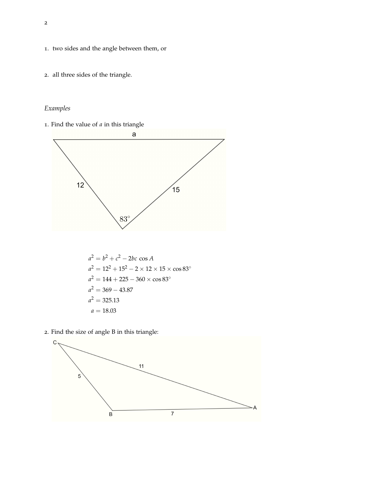- . two sides and the angle between them, or
- . all three sides of the triangle.

## *Examples*

. Find the value of *a* in this triangle



$$
a2 = b2 + c2 - 2bc \cos A
$$
  
\n
$$
a2 = 122 + 152 - 2 \times 12 \times 15 \times \cos 83o
$$
  
\n
$$
a2 = 144 + 225 - 360 \times \cos 83o
$$
  
\n
$$
a2 = 369 - 43.87
$$
  
\n
$$
a2 = 325.13
$$
  
\n
$$
a = 18.03
$$

. Find the size of angle B in this triangle:

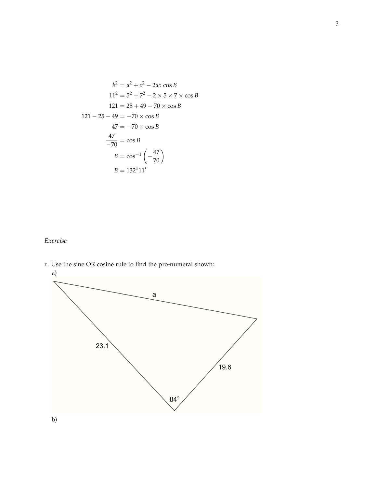$$
b^{2} = a^{2} + c^{2} - 2ac \cos B
$$
  
\n
$$
11^{2} = 5^{2} + 7^{2} - 2 \times 5 \times 7 \times \cos B
$$
  
\n
$$
121 = 25 + 49 - 70 \times \cos B
$$
  
\n
$$
121 - 25 - 49 = -70 \times \cos B
$$
  
\n
$$
47 = -70 \times \cos B
$$
  
\n
$$
\frac{47}{-70} = \cos B
$$
  
\n
$$
B = \cos^{-1} \left(-\frac{47}{70}\right)
$$
  
\n
$$
B = 132^{\circ} 11'
$$

## *Exercise*

. Use the sine OR cosine rule to find the pro-numeral shown:

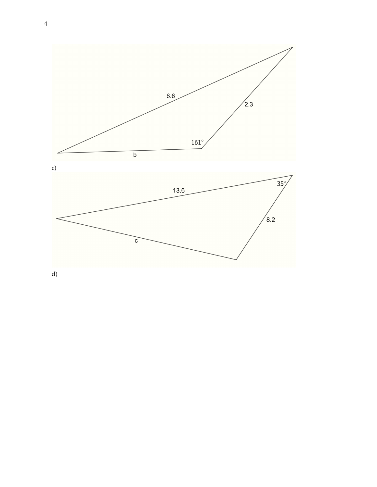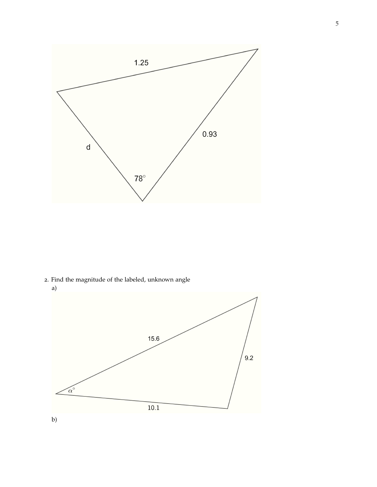

2. Find the magnitude of the labeled, unknown angle



5